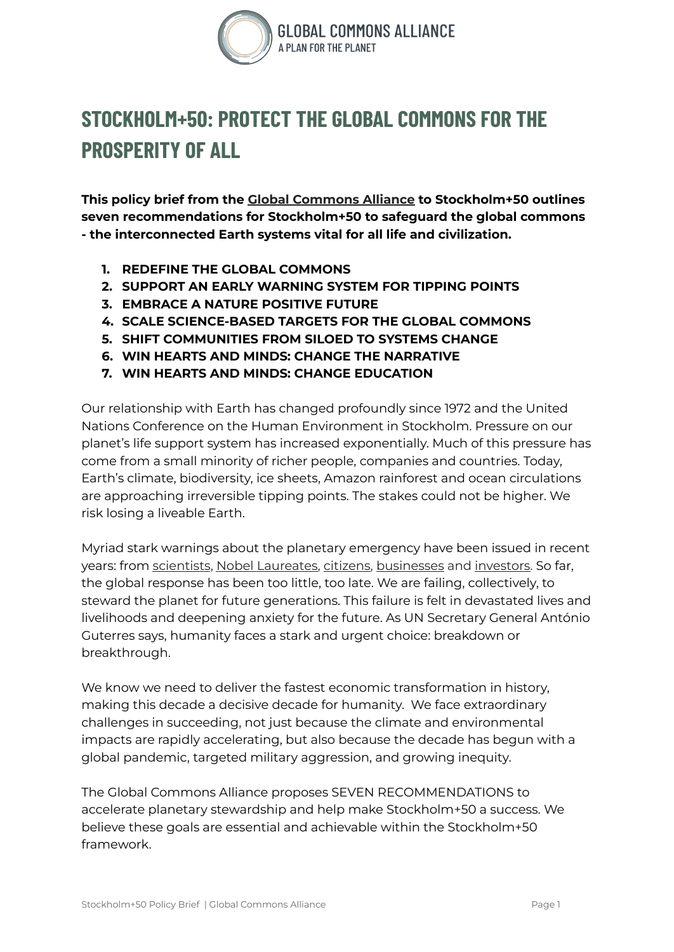

# **STOCKHOLM+50: PROTECT THE GLOBAL COMMONS FOR THE PROSPERITY OF ALL**

**This policy brief from the Global [Commons](https://globalcommonsalliance.org/) Alliance to Stockholm+50 outlines seven recommendations for Stockholm+50 to safeguard the global commons - the interconnected Earth systems vital for all life and civilization.**

- **1. REDEFINE THE GLOBAL COMMONS**
- **2. SUPPORT AN EARLY WARNING SYSTEM FOR TIPPING POINTS**
- **3. EMBRACE A NATURE POSITIVE FUTURE**
- **4. SCALE SCIENCE-BASED TARGETS FOR THE GLOBAL COMMONS**
- **5. SHIFT COMMUNITIES FROM SILOED TO SYSTEMS CHANGE**
- **6. WIN HEARTS AND MINDS: CHANGE THE NARRATIVE**
- **7. WIN HEARTS AND MINDS: CHANGE EDUCATION**

Our relationship with Earth has changed profoundly since 1972 and the United Nations Conference on the Human Environment in Stockholm. Pressure on our planet's life support system has increased exponentially. Much of this pressure has come from a small minority of richer people, companies and countries. Today, Earth's climate, biodiversity, ice sheets, Amazon rainforest and ocean circulations are approaching irreversible tipping points. The stakes could not be higher. We risk losing a liveable Earth.

Myriad stark warnings about the planetary emergency have been issued in recent years: from [scientists](https://www.ipcc.ch/assessment-report/ar6/), Nobel [Laureates](https://www.stockholmresilience.org/research/research-news/2021-06-03-126-nobel-laureates-tell-g7-summit-humanity-is-taking-colossal-risks-with-our-common-future.html), [citizens,](https://www.theguardian.com/environment/2019/sep/21/across-the-globe-millions-join-biggest-climate-protest-ever) [businesses](https://www.businessfornature.org/open-letter-cop15) and [investors.](https://unfccc.int/news/investors-managing-usd-41-trillion-in-assets-urge-governments-to-speed-up-climate-policy-or-lose-out) So far, the global response has been too little, too late. We are failing, collectively, to steward the planet for future generations. This failure is felt in devastated lives and livelihoods and deepening anxiety for the future. As UN Secretary General António Guterres says, humanity faces a stark and urgent choice: breakdown or breakthrough.

We know we need to deliver the fastest economic transformation in history, making this decade a decisive decade for humanity. We face extraordinary challenges in succeeding, not just because the climate and environmental impacts are rapidly accelerating, but also because the decade has begun with a global pandemic, targeted military aggression, and growing inequity.

The Global Commons Alliance proposes SEVEN RECOMMENDATIONS to accelerate planetary stewardship and help make Stockholm+50 a success. We believe these goals are essential and achievable within the Stockholm+50 framework.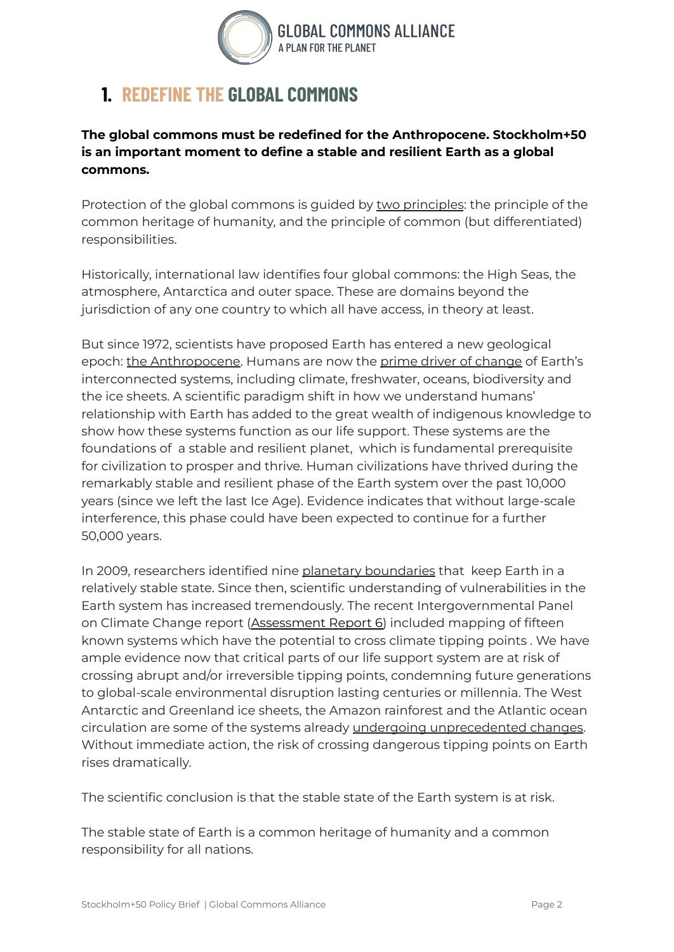

#### **1. REDEFINE THE GLOBAL COMMONS**

**The global commons must be redefined for the Anthropocene. Stockholm+50 is an important moment to define a stable and resilient Earth as a global commons.**

Protection of the global commons is guided by two [principles](https://www.un.org/en/development/desa/policy/untaskteam_undf/thinkpieces/24_thinkpiece_global_governance.pdf): the principle of the common heritage of humanity, and the principle of common (but differentiated) responsibilities.

Historically, international law identifies four global commons: the High Seas, the atmosphere, Antarctica and outer space. These are domains beyond the jurisdiction of any one country to which all have access, in theory at least.

But since 1972, scientists have proposed Earth has entered a new geological epoch: the [Anthropocene.](https://www.nature.com/articles/415023a) Humans are now the prime driver of [change](https://journals.sagepub.com/doi/10.1177/2053019614564785) of Earth's interconnected systems, including climate, freshwater, oceans, biodiversity and the ice sheets. A scientific paradigm shift in how we understand humans' relationship with Earth has added to the great wealth of indigenous knowledge to show how these systems function as our life support. These systems are the foundations of a stable and resilient planet, which is fundamental prerequisite for civilization to prosper and thrive. Human civilizations have thrived during the remarkably stable and resilient phase of the Earth system over the past 10,000 years (since we left the last Ice Age). Evidence indicates that without large-scale interference, this phase could have been expected to continue for a further 50,000 years.

In 2009, researchers identified nine planetary [boundaries](https://www.stockholmresilience.org/research/planetary-boundaries/the-nine-planetary-boundaries.html) that keep Earth in a relatively stable state. Since then, scientific understanding of vulnerabilities in the Earth system has increased tremendously. The recent Intergovernmental Panel on Climate Change report [\(Assessment](https://www.ipcc.ch/report/ar6/wg1/) Report 6) included mapping of fifteen known systems which have the potential to cross climate tipping points . We have ample evidence now that critical parts of our life support system are at risk of crossing abrupt and/or irreversible tipping points, condemning future generations to global-scale environmental disruption lasting centuries or millennia. The West Antarctic and Greenland ice sheets, the Amazon rainforest and the Atlantic ocean circulation are some of the systems already undergoing [unprecedented](https://www.nature.com/articles/d41586-019-03595-0) changes. Without immediate action, the risk of crossing dangerous tipping points on Earth rises dramatically.

The scientific conclusion is that the stable state of the Earth system is at risk.

The stable state of Earth is a common heritage of humanity and a common responsibility for all nations.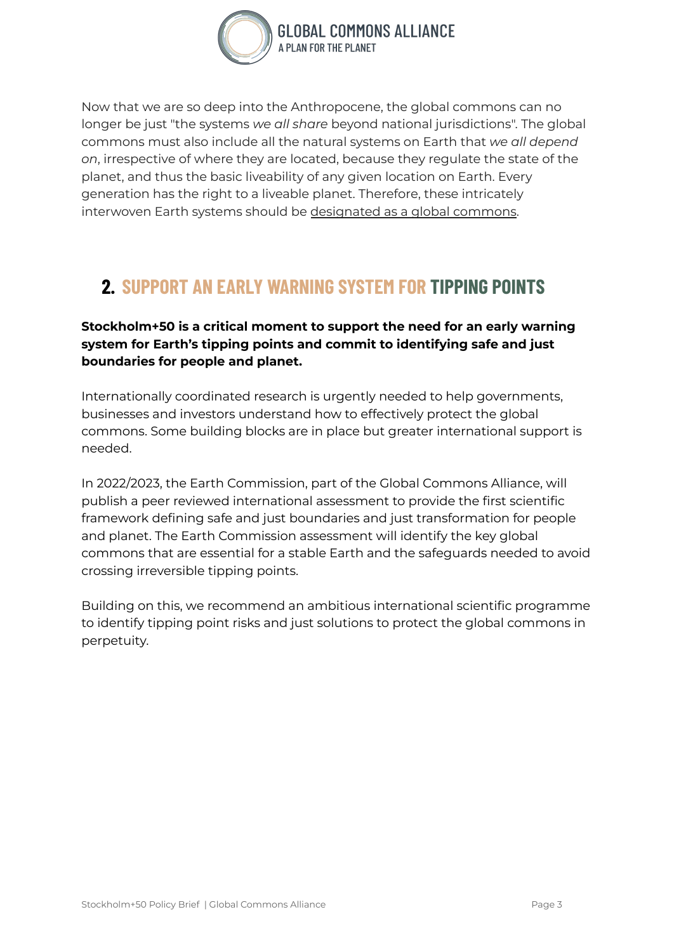

Now that we are so deep into the Anthropocene, the global commons can no longer be just "the systems *we all share* beyond national jurisdictions". The global commons must also include all the natural systems on Earth that *we all depend on*, irrespective of where they are located, because they regulate the state of the planet, and thus the basic liveability of any given location on Earth. Every generation has the right to a liveable planet. Therefore, these intricately interwoven Earth systems should be [designated](http://pure.iiasa.ac.at/id/eprint/14003/) as a global commons.

#### **2. SUPPORT AN EARLY WARNING SYSTEM FOR TIPPING POINTS**

**Stockholm+50 is a critical moment to support the need for an early warning system for Earth's tipping points and commit to identifying safe and just boundaries for people and planet.**

Internationally coordinated research is urgently needed to help governments, businesses and investors understand how to effectively protect the global commons. Some building blocks are in place but greater international support is needed.

In 2022/2023, the Earth Commission, part of the Global Commons Alliance, will publish a peer reviewed international assessment to provide the first scientific framework defining safe and just boundaries and just transformation for people and planet. The Earth Commission assessment will identify the key global commons that are essential for a stable Earth and the safeguards needed to avoid crossing irreversible tipping points.

Building on this, we recommend an ambitious international scientific programme to identify tipping point risks and just solutions to protect the global commons in perpetuity.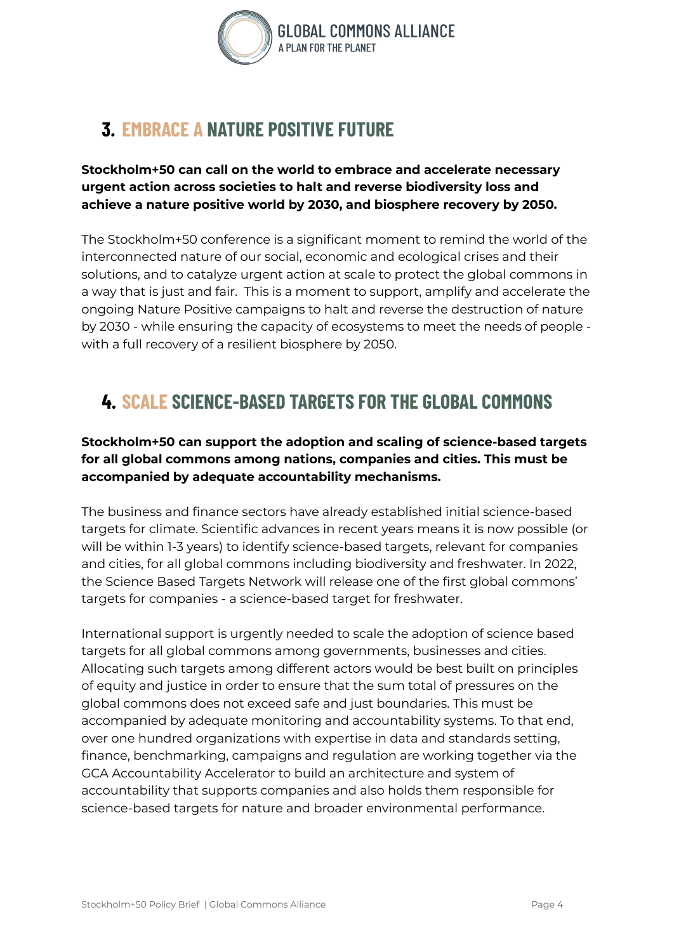

# **3. EMBRACE A NATURE POSITIVE FUTURE**

#### **Stockholm+50 can call on the world to embrace and accelerate necessary urgent action across societies to halt and reverse biodiversity loss and achieve a nature positive world by 2030, and biosphere recovery by 2050.**

The Stockholm+50 conference is a significant moment to remind the world of the interconnected nature of our social, economic and ecological crises and their solutions, and to catalyze urgent action at scale to protect the global commons in a way that is just and fair. This is a moment to support, amplify and accelerate the ongoing Nature Positive campaigns to halt and reverse the destruction of nature by 2030 - while ensuring the capacity of ecosystems to meet the needs of people with a full recovery of a resilient biosphere by 2050.

### **4. SCALE SCIENCE-BASED TARGETS FOR THE GLOBAL COMMONS**

#### **Stockholm+50 can support the adoption and scaling of science-based targets for all global commons among nations, companies and cities. This must be accompanied by adequate accountability mechanisms.**

The business and finance sectors have already established initial science-based targets for climate. Scientific advances in recent years means it is now possible (or will be within 1-3 years) to identify science-based targets, relevant for companies and cities, for all global commons including biodiversity and freshwater. In 2022, the Science Based Targets Network will release one of the first global commons' targets for companies - a science-based target for freshwater.

International support is urgently needed to scale the adoption of science based targets for all global commons among governments, businesses and cities. Allocating such targets among different actors would be best built on principles of equity and justice in order to ensure that the sum total of pressures on the global commons does not exceed safe and just boundaries. This must be accompanied by adequate monitoring and accountability systems. To that end, over one hundred organizations with expertise in data and standards setting, finance, benchmarking, campaigns and regulation are working together via the GCA Accountability Accelerator to build an architecture and system of accountability that supports companies and also holds them responsible for science-based targets for nature and broader environmental performance.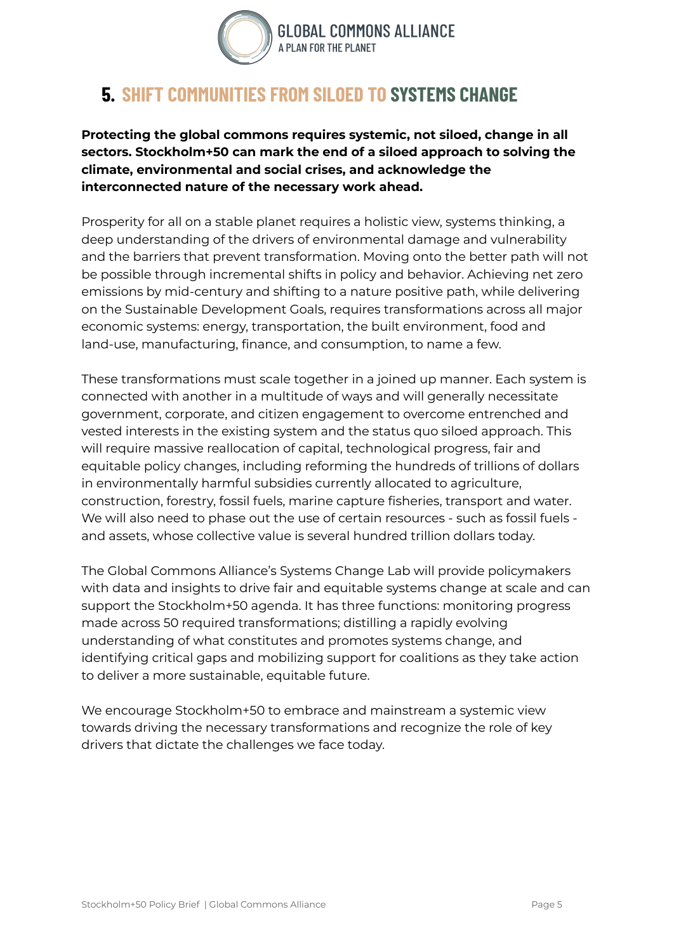

#### **5. SHIFT COMMUNITIES FROM SILOED TO SYSTEMS CHANGE**

**Protecting the global commons requires systemic, not siloed, change in all sectors. Stockholm+50 can mark the end of a siloed approach to solving the climate, environmental and social crises, and acknowledge the interconnected nature of the necessary work ahead.**

Prosperity for all on a stable planet requires a holistic view, systems thinking, a deep understanding of the drivers of environmental damage and vulnerability and the barriers that prevent transformation. Moving onto the better path will not be possible through incremental shifts in policy and behavior. Achieving net zero emissions by mid-century and shifting to a nature positive path, while delivering on the Sustainable Development Goals, requires transformations across all major economic systems: energy, transportation, the built environment, food and land-use, manufacturing, finance, and consumption, to name a few.

These transformations must scale together in a joined up manner. Each system is connected with another in a multitude of ways and will generally necessitate government, corporate, and citizen engagement to overcome entrenched and vested interests in the existing system and the status quo siloed approach. This will require massive reallocation of capital, technological progress, fair and equitable policy changes, including reforming the hundreds of trillions of dollars in environmentally harmful subsidies currently allocated to agriculture, construction, forestry, fossil fuels, marine capture fisheries, transport and water. We will also need to phase out the use of certain resources - such as fossil fuels and assets, whose collective value is several hundred trillion dollars today.

The Global Commons Alliance's Systems Change Lab will provide policymakers with data and insights to drive fair and equitable systems change at scale and can support the Stockholm+50 agenda. It has three functions: monitoring progress made across 50 required transformations; distilling a rapidly evolving understanding of what constitutes and promotes systems change, and identifying critical gaps and mobilizing support for coalitions as they take action to deliver a more sustainable, equitable future.

We encourage Stockholm+50 to embrace and mainstream a systemic view towards driving the necessary transformations and recognize the role of key drivers that dictate the challenges we face today.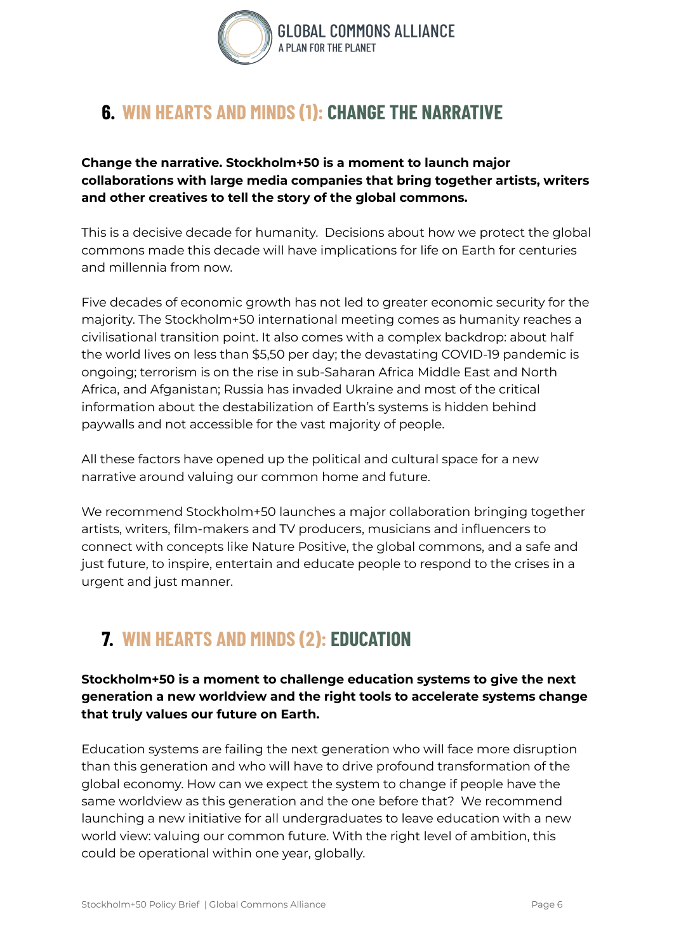

### **6. WIN HEARTS AND MINDS (1): CHANGE THE NARRATIVE**

**Change the narrative. Stockholm+50 is a moment to launch major collaborations with large media companies that bring together artists, writers and other creatives to tell the story of the global commons.**

This is a decisive decade for humanity. Decisions about how we protect the global commons made this decade will have implications for life on Earth for centuries and millennia from now.

Five decades of economic growth has not led to greater economic security for the majority. The Stockholm+50 international meeting comes as humanity reaches a civilisational transition point. It also comes with a complex backdrop: about half the world lives on less than \$5,50 per day; the devastating COVID-19 pandemic is ongoing; terrorism is on the rise in sub-Saharan Africa Middle East and North Africa, and Afganistan; Russia has invaded Ukraine and most of the critical information about the destabilization of Earth's systems is hidden behind paywalls and not accessible for the vast majority of people.

All these factors have opened up the political and cultural space for a new narrative around valuing our common home and future.

We recommend Stockholm+50 launches a major collaboration bringing together artists, writers, film-makers and TV producers, musicians and influencers to connect with concepts like Nature Positive, the global commons, and a safe and just future, to inspire, entertain and educate people to respond to the crises in a urgent and just manner.

# **7. WIN HEARTS AND MINDS (2): EDUCATION**

**Stockholm+50 is a moment to challenge education systems to give the next generation a new worldview and the right tools to accelerate systems change that truly values our future on Earth.**

Education systems are failing the next generation who will face more disruption than this generation and who will have to drive profound transformation of the global economy. How can we expect the system to change if people have the same worldview as this generation and the one before that? We recommend launching a new initiative for all undergraduates to leave education with a new world view: valuing our common future. With the right level of ambition, this could be operational within one year, globally.